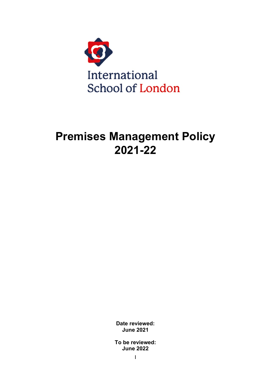

# **Premises Management Policy 2021-22**

**Date reviewed: June 2021**

**To be reviewed: June 2022**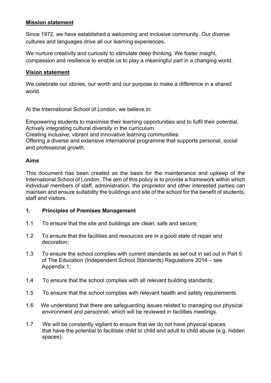## **Mission statement**

Since 1972, we have established a welcoming and inclusive community. Our diverse cultures and languages drive all our learning experiences.

We nurture creativity and curiosity to stimulate deep thinking. We foster insight, compassion and resilience to enable us to play a meaningful part in a changing world.

## **Vision statement**

We celebrate our stories, our worth and our purpose to make a difference in a shared world.

At the International School of London, we believe in:

Empowering students to maximise their learning opportunities and to fulfil their potential. Actively integrating cultural diversity in the curriculum.

Creating inclusive, vibrant and innovative learning communities.

Offering a diverse and extensive international programme that supports personal, social and professional growth.

## **Aims**

This document has been created as the basis for the maintenance and upkeep of the International School of London. The aim of this policy is to provide a framework within which individual members of staff, administration, the proprietor and other interested parties can maintain and ensure suitability the buildings and site of the school for the benefit of students, staff and visitors.

## **1. Principles of Premises Management**

- 1.1 To ensure that the site and buildings are clean, safe and secure;
- 1.2 To ensure that the facilities and resources are in a good state of repair and decoration;
- 1.3 To ensure the school complies with current standards as set out in set out in Part 5 of The Education (Independent School Standards) Regulations 2014 – see Appendix 1;
- 1.4 To ensure that the school complies with all relevant building standards;
- 1.5 To ensure that the school complies with relevant health and safety requirements.
- 1.6 We understand that there are safeguarding issues related to managing our physical environment and personnel, which will be reviewed in facilities meetings.
- 1.7 We will be constantly vigilant to ensure that we do not have physical spaces that have the potential to facilitate child to child and adult to child abuse (e.g. hidden spaces).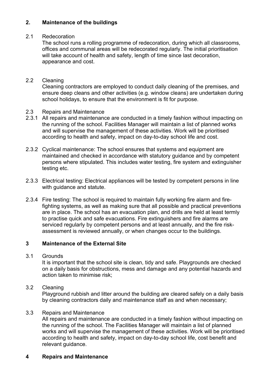# **2. Maintenance of the buildings**

# 2.1 Redecoration

The school runs a rolling programme of redecoration, during which all classrooms, offices and communal areas will be redecorated regularly. The initial prioritisation will take account of health and safety, length of time since last decoration, appearance and cost.

# 2.2 Cleaning

Cleaning contractors are employed to conduct daily cleaning of the premises, and ensure deep cleans and other activities (e.g. window cleans) are undertaken during school holidays, to ensure that the environment is fit for purpose.

- 2.3 Repairs and Maintenance
- 2.3.1 All repairs and maintenance are conducted in a timely fashion without impacting on the running of the school. Facilities Manager will maintain a list of planned works and will supervise the management of these activities. Work will be prioritised according to health and safety, impact on day-to-day school life and cost.
- 2.3.2 Cyclical maintenance: The school ensures that systems and equipment are maintained and checked in accordance with statutory guidance and by competent persons where stipulated. This includes water testing, fire system and extinguisher testing etc.
- 2.3.3 Electrical testing: Electrical appliances will be tested by competent persons in line with guidance and statute.
- 2.3.4 Fire testing: The school is required to maintain fully working fire alarm and firefighting systems, as well as making sure that all possible and practical preventions are in place. The school has an evacuation plan, and drills are held at least termly to practise quick and safe evacuations. Fire extinguishers and fire alarms are serviced regularly by competent persons and at least annually, and the fire riskassessment is reviewed annually, or when changes occur to the buildings.

# **3 Maintenance of the External Site**

## 3.1 Grounds

It is important that the school site is clean, tidy and safe. Playgrounds are checked on a daily basis for obstructions, mess and damage and any potential hazards and action taken to minimise risk;

# 3.2 Cleaning

Playground rubbish and litter around the building are cleared safely on a daily basis by cleaning contractors daily and maintenance staff as and when necessary;

# 3.3 Repairs and Maintenance

All repairs and maintenance are conducted in a timely fashion without impacting on the running of the school. The Facilities Manager will maintain a list of planned works and will supervise the management of these activities. Work will be prioritised according to health and safety, impact on day-to-day school life, cost benefit and relevant guidance.

# **4 Repairs and Maintenance**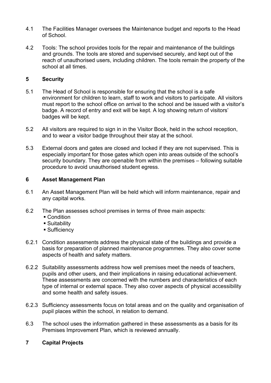- 4.1 The Facilities Manager oversees the Maintenance budget and reports to the Head of School.
- 4.2 Tools: The school provides tools for the repair and maintenance of the buildings and grounds. The tools are stored and supervised securely, and kept out of the reach of unauthorised users, including children. The tools remain the property of the school at all times.

# **5 Security**

- 5.1 The Head of School is responsible for ensuring that the school is a safe environment for children to learn, staff to work and visitors to participate. All visitors must report to the school office on arrival to the school and be issued with a visitor's badge. A record of entry and exit will be kept. A log showing return of visitors' badges will be kept.
- 5.2 All visitors are required to sign in in the Visitor Book, held in the school reception, and to wear a visitor badge throughout their stay at the school.
- 5.3 External doors and gates are closed and locked if they are not supervised. This is especially important for those gates which open into areas outside of the school's security boundary. They are openable from within the premises – following suitable procedure to avoid unauthorised student egress.

## **6 Asset Management Plan**

- 6.1 An Asset Management Plan will be held which will inform maintenance, repair and any capital works.
- 6.2 The Plan assesses school premises in terms of three main aspects:
	- Condition
	- Suitability
	- Sufficiency
- 6.2.1 Condition assessments address the physical state of the buildings and provide a basis for preparation of planned maintenance programmes. They also cover some aspects of health and safety matters.
- 6.2.2 Suitability assessments address how well premises meet the needs of teachers, pupils and other users, and their implications in raising educational achievement. These assessments are concerned with the numbers and characteristics of each type of internal or external space. They also cover aspects of physical accessibility and some health and safety issues.
- 6.2.3 Sufficiency assessments focus on total areas and on the quality and organisation of pupil places within the school, in relation to demand.
- 6.3 The school uses the information gathered in these assessments as a basis for its Premises Improvement Plan, which is reviewed annually.

## **7 Capital Projects**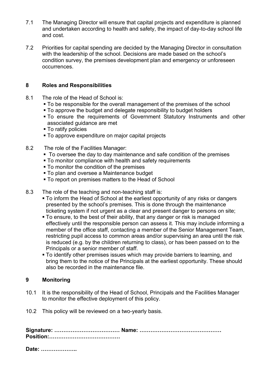- 7.1 The Managing Director will ensure that capital projects and expenditure is planned and undertaken according to health and safety, the impact of day-to-day school life and cost.
- 7.2 Priorities for capital spending are decided by the Managing Director in consultation with the leadership of the school. Decisions are made based on the school's condition survey, the premises development plan and emergency or unforeseen occurrences.

## **8 Roles and Responsibilities**

- 8.1 The role of the Head of School is:
	- To be responsible for the overall management of the premises of the school
	- To approve the budget and delegate responsibility to budget holders
	- To ensure the requirements of Government Statutory Instruments and other associated guidance are met
	- To ratify policies
	- **To approve expenditure on major capital projects**
- 8.2 The role of the Facilities Manager:
	- To oversee the day to day maintenance and safe condition of the premises
	- To monitor compliance with health and safety requirements
	- **To monitor the condition of the premises**
	- **To plan and oversee a Maintenance budget**
	- **To report on premises matters to the Head of School**
- 8.3 The role of the teaching and non-teaching staff is:
	- To inform the Head of School at the earliest opportunity of any risks or dangers presented by the school's premises. This is done through the maintenance ticketing system if not urgent as a clear and present danger to persons on site;
	- To ensure, to the best of their ability, that any danger or risk is managed effectively until the responsible person can assess it. This may include informing a member of the office staff, contacting a member of the Senior Management Team, restricting pupil access to common areas and/or supervising an area until the risk is reduced (e.g. by the children returning to class), or has been passed on to the Principals or a senior member of staff.
	- To identify other premises issues which may provide barriers to learning, and bring them to the notice of the Principals at the earliest opportunity. These should also be recorded in the maintenance file.

## **9 Monitoring**

- 10.1 It is the responsibility of the Head of School, Principals and the Facilities Manager to monitor the effective deployment of this policy.
- 10.2 This policy will be reviewed on a two-yearly basis.

**Date: ………………..**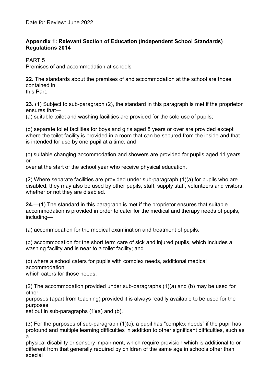# **Appendix 1: Relevant Section of Education (Independent School Standards) Regulations 2014**

PART 5

Premises of and accommodation at schools

**22.** The standards about the premises of and accommodation at the school are those contained in this Part.

**23.** (1) Subject to sub-paragraph (2), the standard in this paragraph is met if the proprietor ensures that—

(a) suitable toilet and washing facilities are provided for the sole use of pupils;

(b) separate toilet facilities for boys and girls aged 8 years or over are provided except where the toilet facility is provided in a room that can be secured from the inside and that is intended for use by one pupil at a time; and

(c) suitable changing accommodation and showers are provided for pupils aged 11 years or

over at the start of the school year who receive physical education.

(2) Where separate facilities are provided under sub-paragraph (1)(a) for pupils who are disabled, they may also be used by other pupils, staff, supply staff, volunteers and visitors, whether or not they are disabled.

**24.**—(1) The standard in this paragraph is met if the proprietor ensures that suitable accommodation is provided in order to cater for the medical and therapy needs of pupils, including—

(a) accommodation for the medical examination and treatment of pupils;

(b) accommodation for the short term care of sick and injured pupils, which includes a washing facility and is near to a toilet facility; and

(c) where a school caters for pupils with complex needs, additional medical accommodation

which caters for those needs.

(2) The accommodation provided under sub-paragraphs (1)(a) and (b) may be used for other

purposes (apart from teaching) provided it is always readily available to be used for the purposes

set out in sub-paragraphs (1)(a) and (b).

(3) For the purposes of sub-paragraph (1)(c), a pupil has "complex needs" if the pupil has profound and multiple learning difficulties in addition to other significant difficulties, such as a

physical disability or sensory impairment, which require provision which is additional to or different from that generally required by children of the same age in schools other than special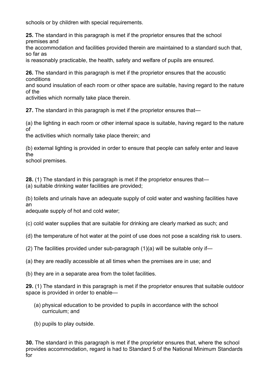schools or by children with special requirements.

**25.** The standard in this paragraph is met if the proprietor ensures that the school premises and

the accommodation and facilities provided therein are maintained to a standard such that, so far as

is reasonably practicable, the health, safety and welfare of pupils are ensured.

**26.** The standard in this paragraph is met if the proprietor ensures that the acoustic conditions

and sound insulation of each room or other space are suitable, having regard to the nature of the

activities which normally take place therein.

**27.** The standard in this paragraph is met if the proprietor ensures that—

(a) the lighting in each room or other internal space is suitable, having regard to the nature of

the activities which normally take place therein; and

(b) external lighting is provided in order to ensure that people can safely enter and leave the

school premises.

**28.** (1) The standard in this paragraph is met if the proprietor ensures that—

(a) suitable drinking water facilities are provided;

(b) toilets and urinals have an adequate supply of cold water and washing facilities have an

adequate supply of hot and cold water;

(c) cold water supplies that are suitable for drinking are clearly marked as such; and

(d) the temperature of hot water at the point of use does not pose a scalding risk to users.

(2) The facilities provided under sub-paragraph  $(1)(a)$  will be suitable only if—

(a) they are readily accessible at all times when the premises are in use; and

(b) they are in a separate area from the toilet facilities.

**29.** (1) The standard in this paragraph is met if the proprietor ensures that suitable outdoor space is provided in order to enable—

- (a) physical education to be provided to pupils in accordance with the school curriculum; and
- (b) pupils to play outside.

**30.** The standard in this paragraph is met if the proprietor ensures that, where the school provides accommodation, regard is had to Standard 5 of the National Minimum Standards for